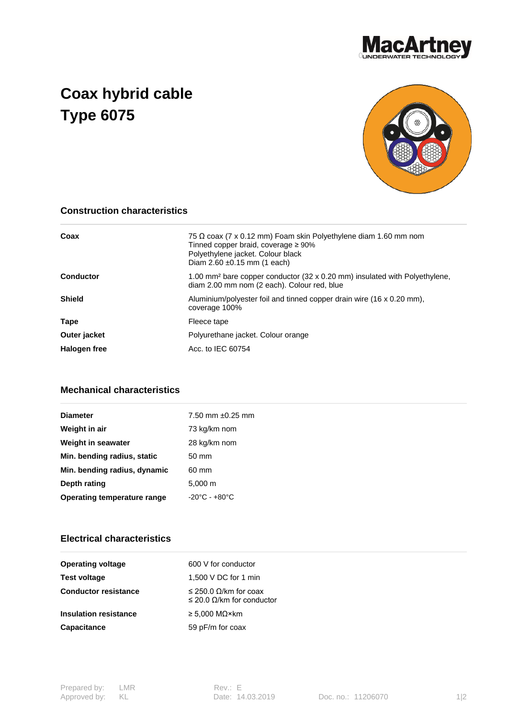

## **Coax hybrid cable Type 6075**



## **Construction characteristics**

| Coax          | 75 $\Omega$ coax (7 x 0.12 mm) Foam skin Polyethylene diam 1.60 mm nom<br>Tinned copper braid, coverage $\geq 90\%$<br>Polyethylene jacket. Colour black<br>Diam $2.60 \pm 0.15$ mm (1 each) |
|---------------|----------------------------------------------------------------------------------------------------------------------------------------------------------------------------------------------|
| Conductor     | 1.00 mm <sup>2</sup> bare copper conductor (32 x 0.20 mm) insulated with Polyethylene,<br>diam 2.00 mm nom (2 each). Colour red, blue                                                        |
| <b>Shield</b> | Aluminium/polyester foil and tinned copper drain wire (16 x 0.20 mm),<br>coverage 100%                                                                                                       |
| Tape          | Fleece tape                                                                                                                                                                                  |
| Outer jacket  | Polyurethane jacket. Colour orange                                                                                                                                                           |
| Halogen free  | Acc. to IEC 60754                                                                                                                                                                            |

## **Mechanical characteristics**

| <b>Diameter</b>              | 7.50 mm $\pm 0.25$ mm             |
|------------------------------|-----------------------------------|
| Weight in air                | 73 kg/km nom                      |
| Weight in seawater           | 28 kg/km nom                      |
| Min. bending radius, static  | $50 \text{ mm}$                   |
| Min. bending radius, dynamic | 60 mm                             |
| Depth rating                 | $5,000 \; \mathrm{m}$             |
| Operating temperature range  | $-20^{\circ}$ C - $+80^{\circ}$ C |

## **Electrical characteristics**

| <b>Operating voltage</b>    | 600 V for conductor                                                          |
|-----------------------------|------------------------------------------------------------------------------|
| Test voltage                | 1,500 V DC for 1 min                                                         |
| <b>Conductor resistance</b> | $\leq$ 250.0 $\Omega$ /km for coax<br>$\leq$ 20.0 $\Omega$ /km for conductor |
| Insulation resistance       | $\geq 5,000$ M $\Omega \times$ km                                            |
| Capacitance                 | 59 pF/m for coax                                                             |